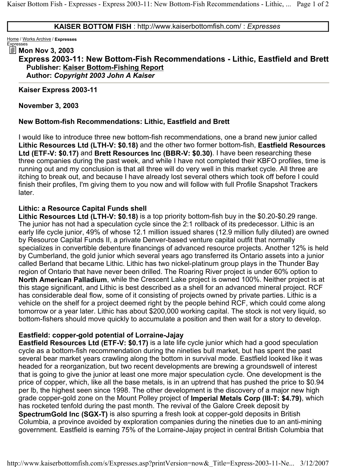#### **KAISER BOTTOM FISH** : http://www.kaiserbottomfish.com/ : *Expresses*

Home / Works Archive / **Expresses** Expresses

### **Mon Nov 3, 2003**

# **Express 2003-11: New Bottom-Fish Recommendations - Lithic, Eastfield and Brett Publisher: Kaiser Bottom-Fishing Report Author:** *Copyright 2003 John A Kaiser*

**Kaiser Express 2003-11** 

**November 3, 2003** 

#### **New Bottom-fish Recommendations: Lithic, Eastfield and Brett**

I would like to introduce three new bottom-fish recommendations, one a brand new junior called **Lithic Resources Ltd (LTH-V: \$0.18)** and the other two former bottom-fish, **Eastfield Resources Ltd (ETF-V: \$0.17)** and **Brett Resources Inc (BBR-V: \$0.30)**. I have been researching these three companies during the past week, and while I have not completed their KBFO profiles, time is running out and my conclusion is that all three will do very well in this market cycle. All three are itching to break out, and because I have already lost several others which took off before I could finish their profiles, I'm giving them to you now and will follow with full Profile Snapshot Trackers later.

### **Lithic: a Resource Capital Funds shell**

**Lithic Resources Ltd (LTH-V: \$0.18)** is a top priority bottom-fish buy in the \$0.20-\$0.29 range. The junior has not had a speculation cycle since the 2:1 rollback of its predecessor. Lithic is an early life cycle junior, 49% of whose 12.1 million issued shares (12.9 million fully diluted) are owned by Resource Capital Funds II, a private Denver-based venture capital outfit that normally specializes in convertible debenture financings of advanced resource projects. Another 12% is held by Cumberland, the gold junior which several years ago transferred its Ontario assets into a junior called Berland that became Lithic. Lithic has two nickel-platinum group plays in the Thunder Bay region of Ontario that have never been drilled. The Roaring River project is under 60% option to **North American Palladium**, while the Crescent Lake project is owned 100%. Neither project is at this stage significant, and Lithic is best described as a shell for an advanced mineral project. RCF has considerable deal flow, some of it consisting of projects owned by private parties. Lithic is a vehicle on the shelf for a project deemed right by the people behind RCF, which could come along tomorrow or a year later. Lithic has about \$200,000 working capital. The stock is not very liquid, so bottom-fishers should move quickly to accumulate a position and then wait for a story to develop.

## **Eastfield: copper-gold potential of Lorraine-Jajay**

**Eastfield Resources Ltd (ETF-V: \$0.17)** is a late life cycle junior which had a good speculation cycle as a bottom-fish recommendation during the nineties bull market, but has spent the past several bear market years crawling along the bottom in survival mode. Eastfield looked like it was headed for a reorganization, but two recent developments are brewing a groundswell of interest that is going to give the junior at least one more major speculation cycle. One development is the price of copper, which, like all the base metals, is in an uptrend that has pushed the price to \$0.94 per lb, the highest seen since 1998. The other development is the discovery of a major new high grade copper-gold zone on the Mount Polley project of **Imperial Metals Corp (III-T: \$4.79)**, which has rocketed tenfold during the past month. The revival of the Galore Creek deposit by **SpectrumGold Inc (SGX-T)** is also spurring a fresh look at copper-gold deposits in British Columbia, a province avoided by exploration companies during the nineties due to an anti-mining government. Eastfield is earning 75% of the Lorraine-Jajay project in central British Columbia that